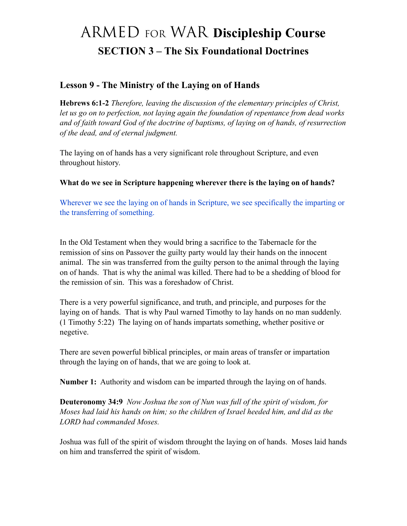# ARMED FOR WAR **Discipleship Course SECTION 3 – The Six Foundational Doctrines**

#### **Lesson 9 - The Ministry of the Laying on of Hands**

**Hebrews 6:1-2** *Therefore, leaving the discussion of the elementary principles of Christ, let us go on to perfection, not laying again the foundation of repentance from dead works and of faith toward God of the doctrine of baptisms, of laying on of hands, of resurrection of the dead, and of eternal judgment.*

The laying on of hands has a very significant role throughout Scripture, and even throughout history.

**What do we see in Scripture happening wherever there is the laying on of hands?**

Wherever we see the laying on of hands in Scripture, we see specifically the imparting or the transferring of something.

In the Old Testament when they would bring a sacrifice to the Tabernacle for the remission of sins on Passover the guilty party would lay their hands on the innocent animal. The sin was transferred from the guilty person to the animal through the laying on of hands. That is why the animal was killed. There had to be a shedding of blood for the remission of sin. This was a foreshadow of Christ.

There is a very powerful significance, and truth, and principle, and purposes for the laying on of hands. That is why Paul warned Timothy to lay hands on no man suddenly. (1 Timothy 5:22) The laying on of hands impartats something, whether positive or negetive.

There are seven powerful biblical principles, or main areas of transfer or impartation through the laying on of hands, that we are going to look at.

**Number 1:** Authority and wisdom can be imparted through the laying on of hands.

**Deuteronomy 34:9** *Now Joshua the son of Nun was full of the spirit of wisdom, for Moses had laid his hands on him; so the children of Israel heeded him, and did as the LORD had commanded Moses.*

Joshua was full of the spirit of wisdom throught the laying on of hands. Moses laid hands on him and transferred the spirit of wisdom.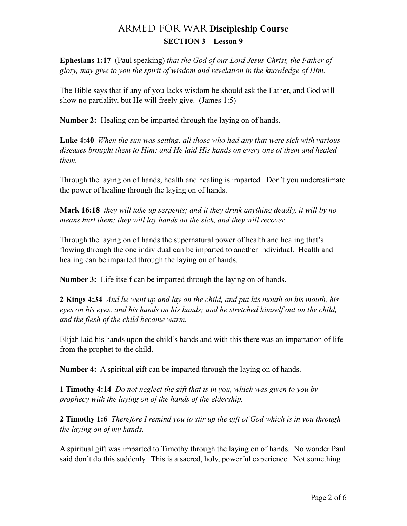**Ephesians 1:17** (Paul speaking) *that the God of our Lord Jesus Christ, the Father of glory, may give to you the spirit of wisdom and revelation in the knowledge of Him.* 

The Bible says that if any of you lacks wisdom he should ask the Father, and God will show no partiality, but He will freely give. (James 1:5)

**Number 2:** Healing can be imparted through the laying on of hands.

**Luke 4:40** *When the sun was setting, all those who had any that were sick with various diseases brought them to Him; and He laid His hands on every one of them and healed them.*

Through the laying on of hands, health and healing is imparted. Don't you underestimate the power of healing through the laying on of hands.

**Mark 16:18** *they will take up serpents; and if they drink anything deadly, it will by no means hurt them; they will lay hands on the sick, and they will recover.*

Through the laying on of hands the supernatural power of health and healing that's flowing through the one individual can be imparted to another individual. Health and healing can be imparted through the laying on of hands.

**Number 3:** Life itself can be imparted through the laying on of hands.

**2 Kings 4:34** *And he went up and lay on the child, and put his mouth on his mouth, his eyes on his eyes, and his hands on his hands; and he stretched himself out on the child, and the flesh of the child became warm.*

Elijah laid his hands upon the child's hands and with this there was an impartation of life from the prophet to the child.

**Number 4:** A spiritual gift can be imparted through the laying on of hands.

**1 Timothy 4:14** *Do not neglect the gift that is in you, which was given to you by prophecy with the laying on of the hands of the eldership.* 

**2 Timothy 1:6** *Therefore I remind you to stir up the gift of God which is in you through the laying on of my hands.* 

A spiritual gift was imparted to Timothy through the laying on of hands. No wonder Paul said don't do this suddenly. This is a sacred, holy, powerful experience. Not something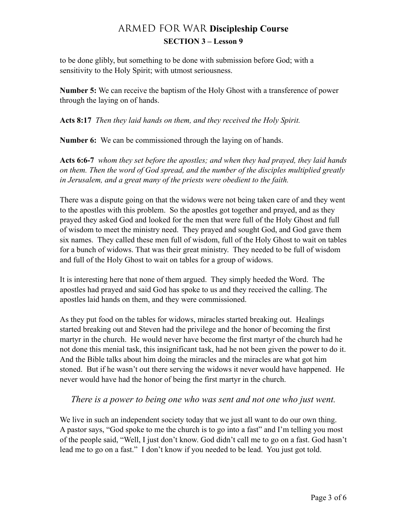to be done glibly, but something to be done with submission before God; with a sensitivity to the Holy Spirit; with utmost seriousness.

**Number 5:** We can receive the baptism of the Holy Ghost with a transference of power through the laying on of hands.

**Acts 8:17** *Then they laid hands on them, and they received the Holy Spirit.* 

**Number 6:** We can be commissioned through the laying on of hands.

**Acts 6:6-7** *whom they set before the apostles; and when they had prayed, they laid hands on them. Then the word of God spread, and the number of the disciples multiplied greatly in Jerusalem, and a great many of the priests were obedient to the faith.* 

There was a dispute going on that the widows were not being taken care of and they went to the apostles with this problem. So the apostles got together and prayed, and as they prayed they asked God and looked for the men that were full of the Holy Ghost and full of wisdom to meet the ministry need. They prayed and sought God, and God gave them six names. They called these men full of wisdom, full of the Holy Ghost to wait on tables for a bunch of widows. That was their great ministry. They needed to be full of wisdom and full of the Holy Ghost to wait on tables for a group of widows.

It is interesting here that none of them argued. They simply heeded the Word. The apostles had prayed and said God has spoke to us and they received the calling. The apostles laid hands on them, and they were commissioned.

As they put food on the tables for widows, miracles started breaking out. Healings started breaking out and Steven had the privilege and the honor of becoming the first martyr in the church. He would never have become the first martyr of the church had he not done this menial task, this insignificant task, had he not been given the power to do it. And the Bible talks about him doing the miracles and the miracles are what got him stoned. But if he wasn't out there serving the widows it never would have happened. He never would have had the honor of being the first martyr in the church.

#### *There is a power to being one who was sent and not one who just went.*

We live in such an independent society today that we just all want to do our own thing. A pastor says, "God spoke to me the church is to go into a fast" and I'm telling you most of the people said, "Well, I just don't know. God didn't call me to go on a fast. God hasn't lead me to go on a fast." I don't know if you needed to be lead. You just got told.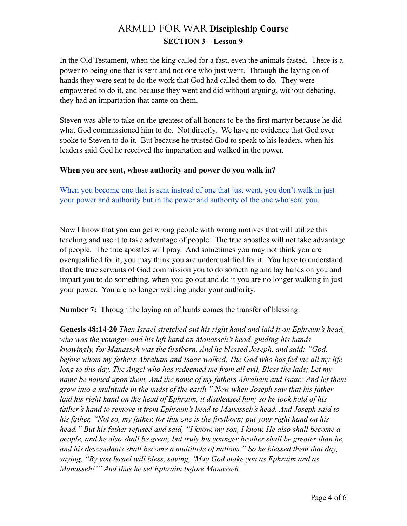In the Old Testament, when the king called for a fast, even the animals fasted. There is a power to being one that is sent and not one who just went. Through the laying on of hands they were sent to do the work that God had called them to do. They were empowered to do it, and because they went and did without arguing, without debating, they had an impartation that came on them.

Steven was able to take on the greatest of all honors to be the first martyr because he did what God commissioned him to do. Not directly. We have no evidence that God ever spoke to Steven to do it. But because he trusted God to speak to his leaders, when his leaders said God he received the impartation and walked in the power.

#### **When you are sent, whose authority and power do you walk in?**

When you become one that is sent instead of one that just went, you don't walk in just your power and authority but in the power and authority of the one who sent you.

Now I know that you can get wrong people with wrong motives that will utilize this teaching and use it to take advantage of people. The true apostles will not take advantage of people. The true apostles will pray. And sometimes you may not think you are overqualified for it, you may think you are underqualified for it. You have to understand that the true servants of God commission you to do something and lay hands on you and impart you to do something, when you go out and do it you are no longer walking in just your power. You are no longer walking under your authority.

**Number 7:** Through the laying on of hands comes the transfer of blessing.

**Genesis 48:14-20** *Then Israel stretched out his right hand and laid it on Ephraim's head, who was the younger, and his left hand on Manasseh's head, guiding his hands knowingly, for Manasseh was the firstborn. And he blessed Joseph, and said: "God, before whom my fathers Abraham and Isaac walked, The God who has fed me all my life long to this day, The Angel who has redeemed me from all evil, Bless the lads; Let my name be named upon them, And the name of my fathers Abraham and Isaac; And let them grow into a multitude in the midst of the earth." Now when Joseph saw that his father laid his right hand on the head of Ephraim, it displeased him; so he took hold of his father's hand to remove it from Ephraim's head to Manasseh's head. And Joseph said to his father, "Not so, my father, for this one is the firstborn; put your right hand on his head." But his father refused and said, "I know, my son, I know. He also shall become a people, and he also shall be great; but truly his younger brother shall be greater than he, and his descendants shall become a multitude of nations." So he blessed them that day, saying, "By you Israel will bless, saying, 'May God make you as Ephraim and as Manasseh!'" And thus he set Ephraim before Manasseh.*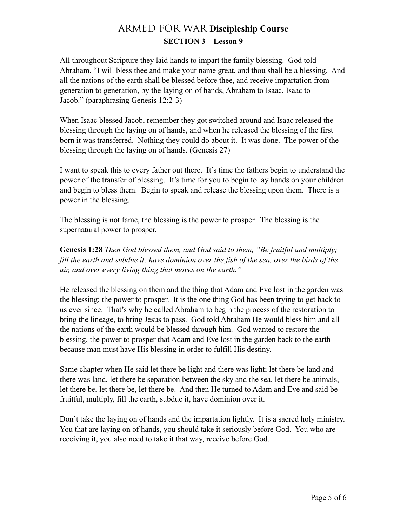All throughout Scripture they laid hands to impart the family blessing. God told Abraham, "I will bless thee and make your name great, and thou shall be a blessing. And all the nations of the earth shall be blessed before thee, and receive impartation from generation to generation, by the laying on of hands, Abraham to Isaac, Isaac to Jacob." (paraphrasing Genesis 12:2-3)

When Isaac blessed Jacob, remember they got switched around and Isaac released the blessing through the laying on of hands, and when he released the blessing of the first born it was transferred. Nothing they could do about it. It was done. The power of the blessing through the laying on of hands. (Genesis 27)

I want to speak this to every father out there. It's time the fathers begin to understand the power of the transfer of blessing. It's time for you to begin to lay hands on your children and begin to bless them. Begin to speak and release the blessing upon them. There is a power in the blessing.

The blessing is not fame, the blessing is the power to prosper. The blessing is the supernatural power to prosper.

**Genesis 1:28** *Then God blessed them, and God said to them, "Be fruitful and multiply; fill the earth and subdue it; have dominion over the fish of the sea, over the birds of the air, and over every living thing that moves on the earth."*

He released the blessing on them and the thing that Adam and Eve lost in the garden was the blessing; the power to prosper. It is the one thing God has been trying to get back to us ever since. That's why he called Abraham to begin the process of the restoration to bring the lineage, to bring Jesus to pass. God told Abraham He would bless him and all the nations of the earth would be blessed through him. God wanted to restore the blessing, the power to prosper that Adam and Eve lost in the garden back to the earth because man must have His blessing in order to fulfill His destiny.

Same chapter when He said let there be light and there was light; let there be land and there was land, let there be separation between the sky and the sea, let there be animals, let there be, let there be, let there be. And then He turned to Adam and Eve and said be fruitful, multiply, fill the earth, subdue it, have dominion over it.

Don't take the laying on of hands and the impartation lightly. It is a sacred holy ministry. You that are laying on of hands, you should take it seriously before God. You who are receiving it, you also need to take it that way, receive before God.